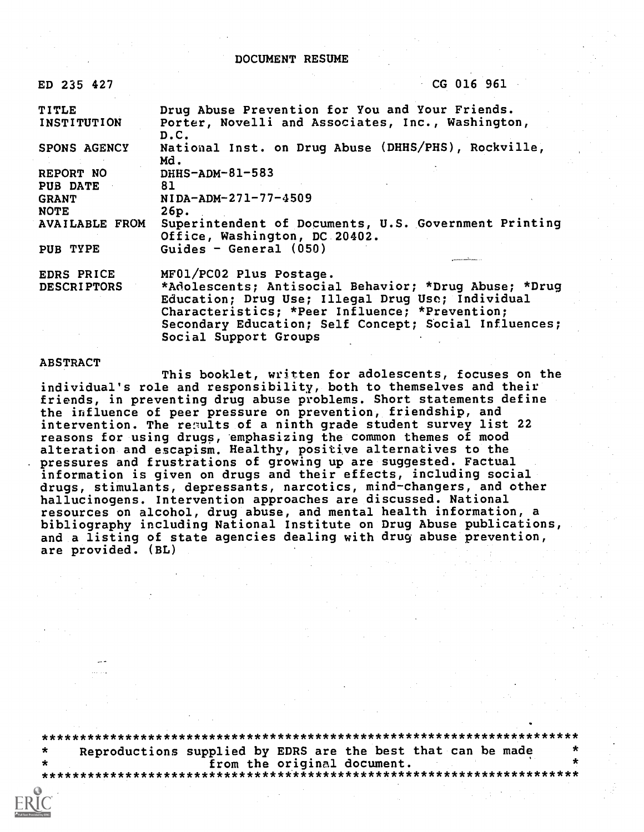#### DOCUMENT RESUME

| ED 235 427            | CG 016 961                                                                                                                                                   |
|-----------------------|--------------------------------------------------------------------------------------------------------------------------------------------------------------|
| TITLE<br>INSTITUTION  | Drug Abuse Prevention for You and Your Friends.<br>Porter, Novelli and Associates, Inc., Washington,<br>D.C.                                                 |
| <b>SPONS AGENCY</b>   | National Inst. on Drug Abuse (DHHS/PHS), Rockville,<br>Md.                                                                                                   |
| REPORT NO             | $DHHS-ADM-81-583$                                                                                                                                            |
| <b>PUB DATE</b>       | 81                                                                                                                                                           |
| <b>GRANT</b>          | $NIDA-ADM-271-77-4509$                                                                                                                                       |
| <b>NOTE</b>           | 26p.                                                                                                                                                         |
| <b>AVAILABLE FROM</b> | Superintendent of Documents, U.S. Government Printing<br>Office, Washington, DC 20402.                                                                       |
| PUB TYPE              | Guides - General $(050)$                                                                                                                                     |
| EDRS PRICE            | MF01/PC02 Plus Postage.                                                                                                                                      |
| <b>DESCRIPTORS</b>    | *Adolescents; Antisocial Behavior; *Drug Abuse; *Drug<br>Education; Drug Use; Illegal Drug Use; Individual<br>Characteristics; *Peer Influence; *Prevention; |
|                       | Secondary Education; Self Concept; Social Influences;<br>Social Support Groups                                                                               |

#### ABSTRACT

This booklet, written for adolescents, focuses on the individual's role and responsibility, both to themselves and their friends, in preventing drug abuse problems. Short statements define the influence of peer pressure on prevention, friendship, and intervention. The results of a ninth grade student survey list 22 reasons for using drugs, emphasizing the common themes of mood alteration and escapism. Healthy, positive alternatives to the pressures and frustrations of growing up are suggested. Factual information is given on drugs and their effects, including social drugs, stimulants, depressants, narcotics, mind-changers, and other hallucinogens. Intervention approaches are discussed. National resources on alcohol, drug abuse, and mental health information, a bibliography including National Institute on Drug Abuse publications, and a listing of state agencies dealing with drug abuse prevention, are provided. (BL)

\*\*\*\*\*\*\*\*\*\*\*\*\*\*\*\*\*\*\*\*\*\*\*\*\*\*\*\*\*\*\*\*\*\*\*\*\*\*\*\*\*\*\*\*\*\*\*\*\*\*\*\*\*\*\*\*\*\*\*\*\*\*\*\*\*\*\*\*\*\*\* Reproductions supplied by EDRS are the best that can be made<br>from the original document. from the original document. \*\*\*\*\*\*\*\*\*\*\*\*\*\*\*\*\*\*\*\*\*\*\*\*\*\*\*\*\*\*\*\*\*\*\*\*\*\*\*\*\*\*\*\*\*\*\*\*\*\*\*\*\*\*\*\*\*\*\*\*\*\*\*\*\*\*\*\*\*\*\*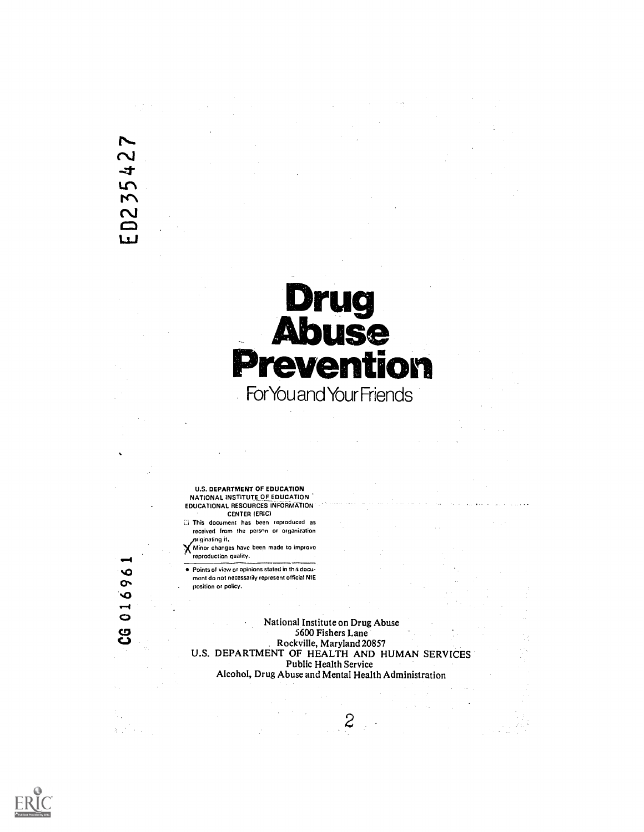# $\overline{\mathbf{C}}$  $\ddot{\mathbf{r}}$ ED235

# Drug<br>Abuse evention For You and Your Friends

U.S. DEPARTMENT OF EDUCATION NATIONAL INSTITUTE OF EDUCATION EDUCATIONAL RESOURCES INFORMATION CENTER (ERIC)

E; This document has been reproduced as received from the person or organization riginating it.

**X** Minor changes have been made to improve reproduction quality.

. Points of view or opinions stated in this document do not necessarily represent official ME . position or policy.

National Institute on Drug Abuse 5600 Fishers Lane Rockville, Maryland 20857 U.S. DEPARTMENT OF HEALTH AND HUMAN SERVICES Public Health Service Alcohol, Drug Abuse and Mental Health Administration

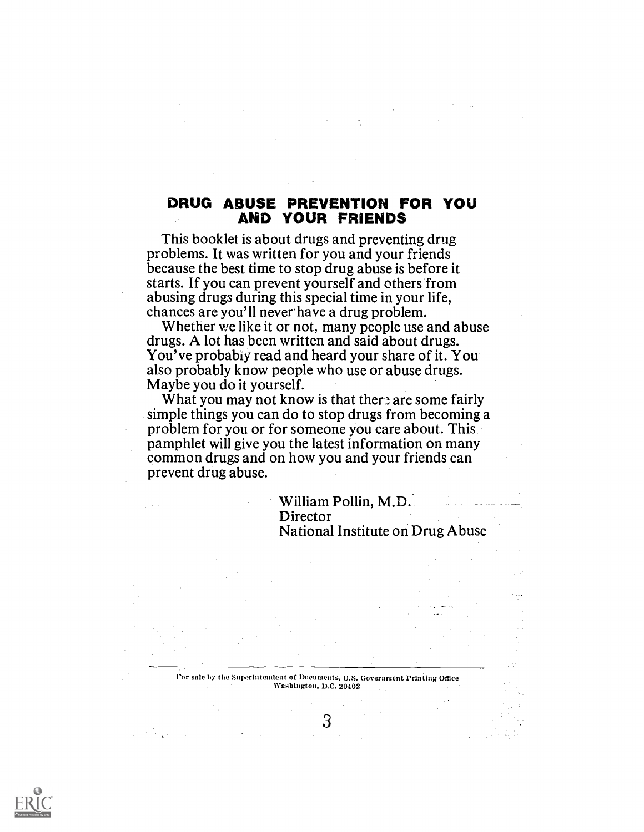# DRUG ABUSE PREVENTION FOR YOU AND YOUR FRIENDS

This booklet is about drugs and preventing drug problems. It was written for you and your friends because the best time to stop drug abuse is before it starts. If you can prevent yourself and others from abusing drugs during this special time in your life, chances are you'll never have a drug problem.

Whether we like it or not, many people use and abuse drugs. A lot has been written and said about drugs. You've probably read and heard your share of it. You also probably know people who use or abuse drugs. Maybe you do it yourself.

What you may not know is that ther, are some fairly simple things you can do to stop drugs from becoming a problem for you or for someone you care about. This pamphlet will give you the latest information on many common drugs and on how you and your friends can prevent drug abuse.

> William Pollin, M.D. Director National Institute on Drug Abuse

For sale by the Superintendent of Documents. U.S. Government Printing Office Washington, D.C. 20402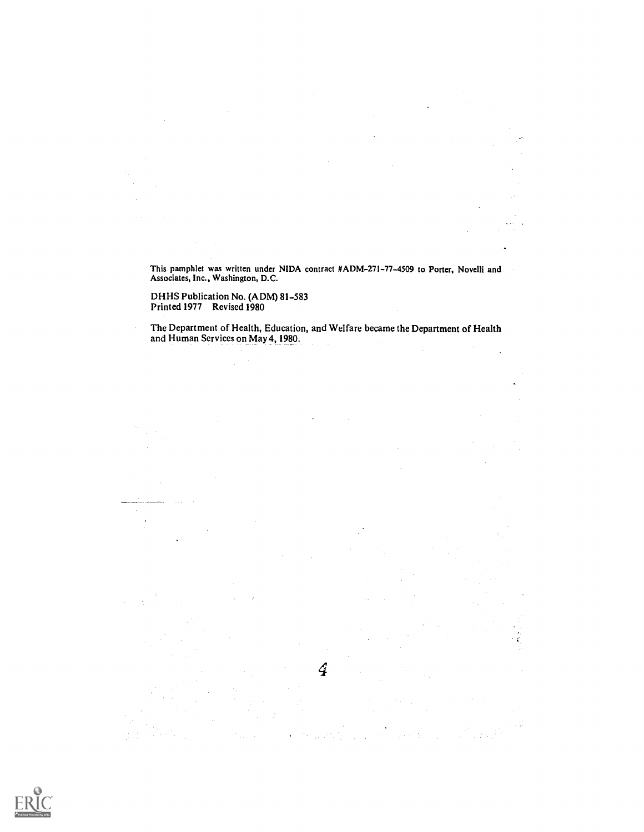This pamphlet was written under NIDA contract #ADM-271-77-4509 to Porter, Novelli and Associates, Inc., Washington, D.C.

 $\ddot{\phantom{a}}$ 

DHHS Publication No. (ADM) 81-583 Printed 1977 Revised 1980

The Department of Health, Education, and Welfare became the Department of Health and Human Services on May 4,1980.

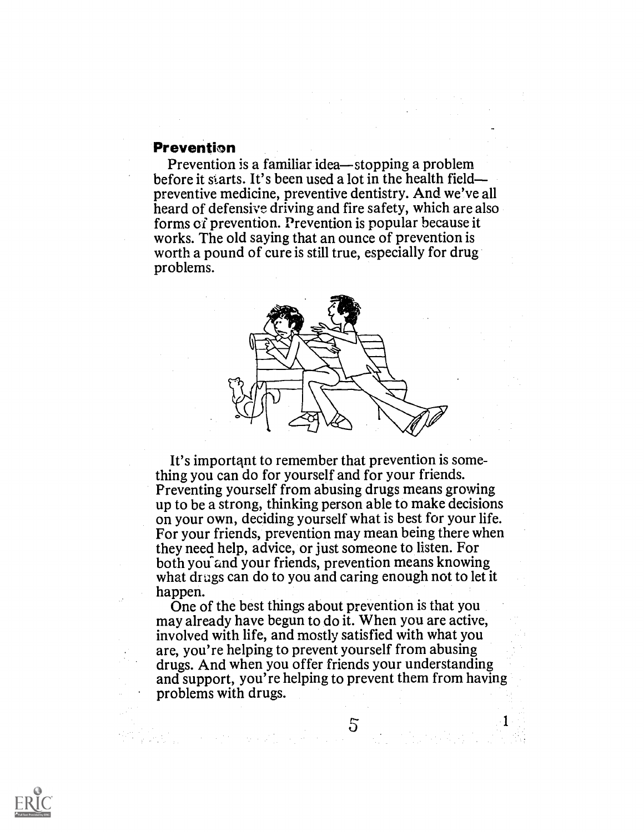#### **Prevention**

Prevention is a familiar idea-stopping a problem before it starts. It's been used a lot in the health field preventive medicine, preventive dentistry. And we've all heard of defensive driving and fire safety, which are also forms of prevention. Prevention is popular because it works. The old saying that an ounce of prevention is worth a pound of cure is still true, especially for drug problems.



It's importqnt to remember that prevention is something you can do for yourself and for your friends. Preventing yourself from abusing drugs means growing up to be a strong, thinking person able to make decisions on your own, deciding yourself what is best for your life. For your friends, prevention may mean being there when they need help, advice, or just someone to listen. For both you and your friends, prevention means knowing what drags can do to you and caring enough not to let it happen.

One of the best things about prevention is that you may already have begun to do it. When you are active, involved with life, and mostly satisfied with what you are, you're helping to prevent yourself from abusing drugs. And when you offer friends your understanding and support, you're helping to prevent them from having problems with drugs.

The state of the second state  $5$  and  $5$ 

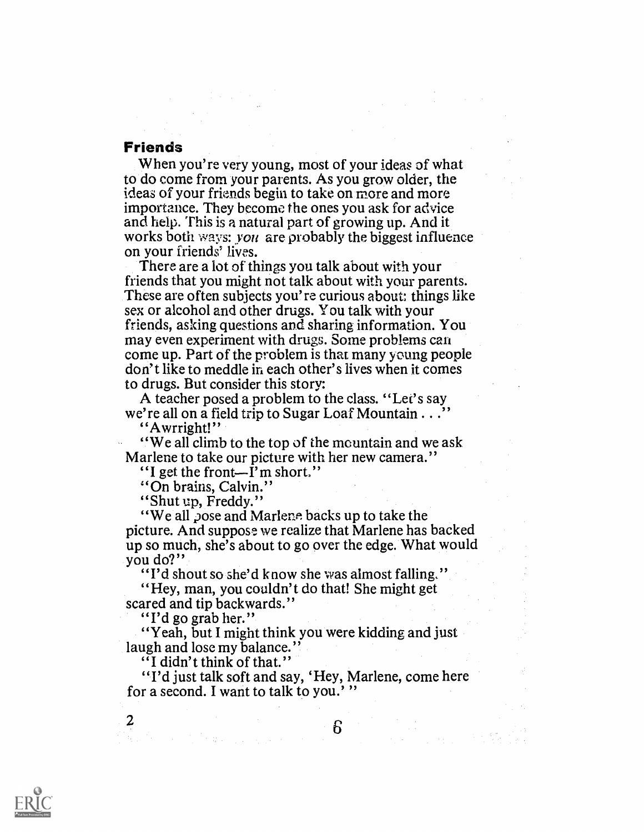# Friends

When you're very young, most of your ideas of what to do come from your parents. As you grow older, the ideas of your friends begin to take on more and more importance. They become the ones you ask for advice and help. This is a natural part of growing up. And it works both ways: you are probably the biggest influence on your friends' lives.

There are a lot of things you talk about with your friends that you might not talk about with your parents. These are often subjects you're curious about: things like sex or alcohol and other drugs. You talk with your friends, asking questions and sharing information. You may even experiment with drugs. Some problems can come up. Part of the problem is that many young people don't like to meddle in each other's lives when it comes to drugs. But consider this story:

A teacher posed a problem to the class. "Let's say we're all on a field trip to Sugar Loaf Mountain  $\ldots$ . "Awrright!"

"We all climb to the top of the mountain and we ask Marlene to take our picture with her new camera."<br>"I get the front-I'm short."

"On brains, Calvin."

"Shut up, Freddy."

"We all pose and Marlene backs up to take the picture. And suppose we realize that Marlene has backed up so much, she's about to go over the edge. What would you do?"

"I'd shout so she'd know she was almost falling."

"Hey, man, you couldn't do that! She might get scared and tip backwards."<br>"I'd go grab her."

"Yeah, but I might think you were kidding and just" laugh and lose my balance." "I didn't think of that."

"I'd just talk soft and say, 'Hey, Marlene, come here for a second. I want to talk to you.'"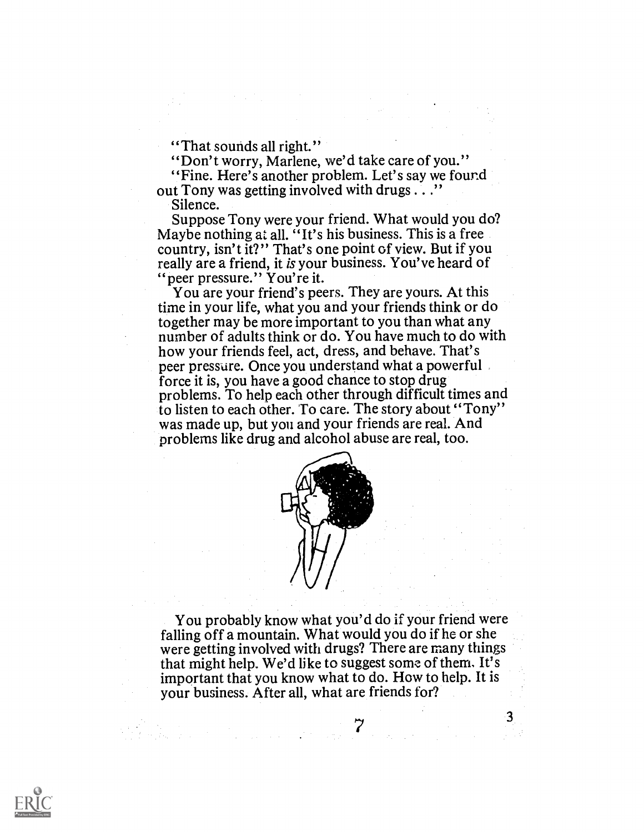"That sounds all right."

"Don't worry, Marlene, we'd take care of you."

"Fine. Here's another problem. Let's say we found out Tony was getting involved with drugs . . ."

Silence.

Suppose Tony were your friend. What would you do? Maybe nothing at all. "It's his business. This is a free country, isn't it?" That's one point of view. But if you really are a friend, it is your business. You've heard of "peer pressure." You're it.

You are your friend's peers. They are yours. At this time in your life, what you and your friends think or do together may be more important to you than what any number of adults think or do. You have much to do with how your friends feel, act, dress, and behave. That's peer pressure. Once you understand what a powerful force it is, you have a good chance to stop drug problems. To help each other through difficult times and to listen to each other. To care. The story about "Tony" was made up, but you and your friends are real. And problems like drug and alcohol abuse are real, too.



You probably know what you'd do if your friend were falling off a mountain. What would you do if he or she were getting involved with drugs? There are many things that might help. We'd like to suggest some of them, It's important that you know what to do. How to help. It is your business. After all, what are friends for?

7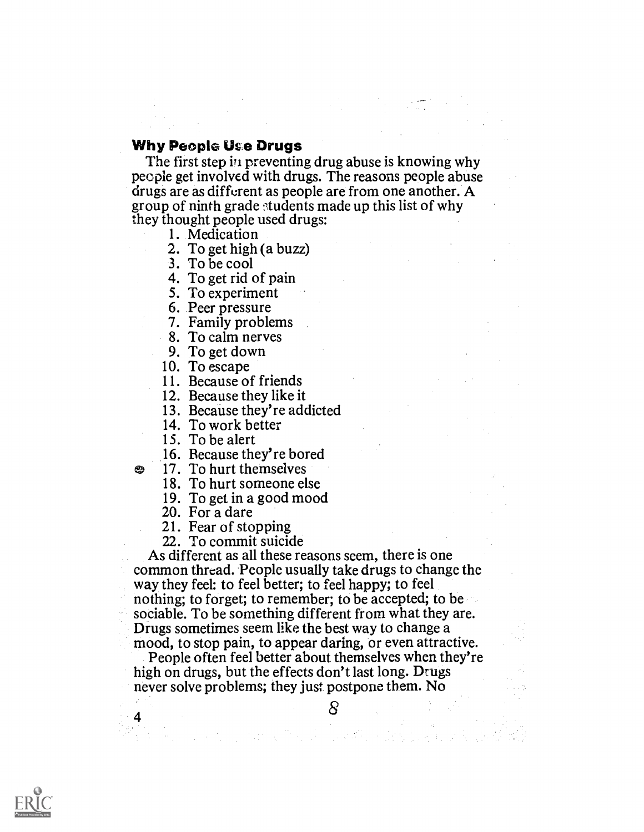# Why People Use Drugs

The first step in preventing drug abuse is knowing why people get involved with drugs. The reasons people abuse drugs are as different as people are from one another. A group of ninth grade ftudents made up this list of why they thought people used drugs:

1. Medication

2. To get high (a buzz)

3. To be cool

4. To get rid of pain

- 5. To experiment
- 6. Peer pressure
- 7. Family problems
- 8. To calm nerves
- 9. To get down
- 10. To escape
- 11. Because of friends
- 12. Because they like it
- 13. Because they're addicted
- 14. To work better
- 15. To be alert

æ,

- 16. Because they're bored
- 17. To hurt themselves
	- 18. To hurt someone else
	- 19. To get in a good mood 20. For a dare
	-
	- 21. Fear of stopping
	- 22. To commit suicide

As different as all these reasons seem, there is one common thread. People usually take drugs to change the way they feel: to feel better; to feel happy; to feel nothing; to forget; to remember; to be accepted; to be sociable. To be something different from what they are. Drugs sometimes seem like the best way to change a mood, to stop pain, to appear daring, or even attractive.

People often feel better about themselves when they're high on drugs, but the effects don't last long. Drugs never solve problems; they just postpone them. No

ひょうぶつ しょばい こうがんていそう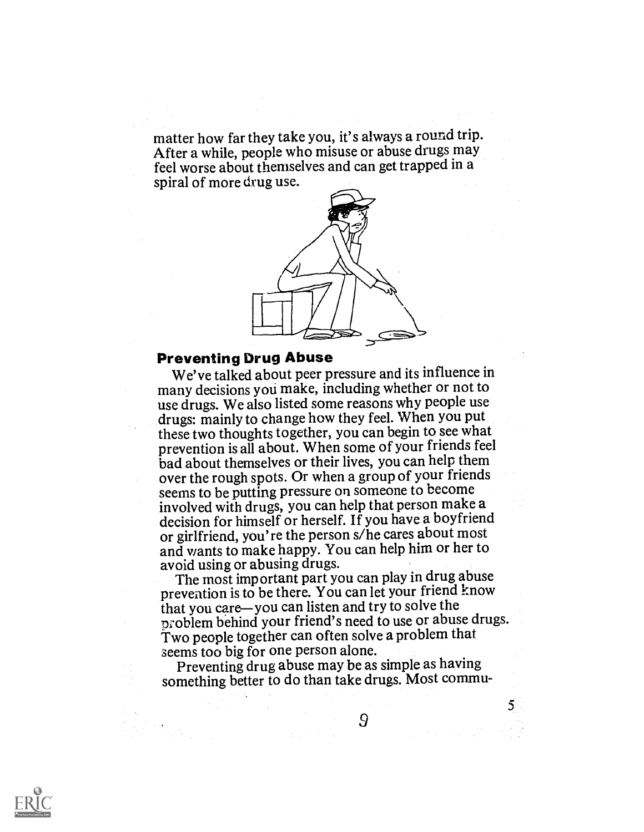matter how far they take you, it's always a round trip. After a while, people who misuse or abuse drugs may feel worse about themselves and can get trapped in a spiral of more drug use.



# Preventing Drug Abuse

We've talked about peer pressure and its influence in many decisions you make, including whether or not to use drugs. We also listed some reasons why people use drugs: mainly to change how they feel. When you put these two thoughts together, you can begin to see what prevention is all about. When some of your friends feel bad about themselves or their lives, you can help them over the rough spots. Or when a group of your friends seems to be putting pressure on someone to become involved with drugs, you can help that person make a decision for himself or herself. If you have a boyfriend or girlfriend, you're the person s/he cares about most and wants to make happy. You can help him or her to avoid using or abusing drugs.

The most important part you can play in drug abuse prevention is to be there. You can let your friend know that you care—you can listen and try to solve the problem behind your friend's need to use or abuse drugs. Two people together can often solve a problem that seems too big for one person alone.

Preventing drug abuse may be as simple as having something better to do than take drugs. Most commu-



9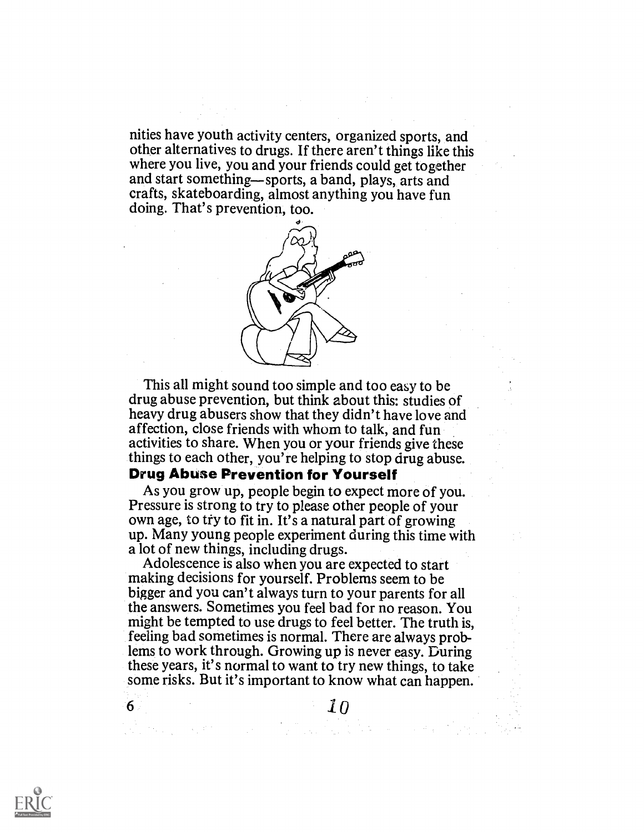nities have youth activity centers, organized sports, and other alternatives to drugs. If there aren't things like this where you live, you and your friends could get together and start something—sports, a band, plays, arts and crafts, skateboarding, almost anything you have fun doing. That's prevention, too.



This all might sound too simple and too easy to be drug abuse prevention, but think about this: studies of heavy drug abusers show that they didn't have love and affection, close friends with whom to talk, and fun activities to share. When you or your friends give these things to each other, you're helping to stop drug abuse.

# Drug Abuse Prevention for Yourself

As you grow up, people begin to expect more of you. Pressure is strong to try to please other people of your own age, to try to fit in. It's a natural part of growing up. Many young people experiment during this time with a lot of new things, including drugs.

Adolescence is also when you are expected to start making decisions for yourself. Problems seem to be bigger and you can't always turn to your parents for all the answers. Sometimes you feel bad for no reason. You might be tempted to use drugs to feel better. The truth is, feeling bad sometimes is normal. There are always problems to work through. Growing up is never easy. During these years, it's normal to want to try new things, to take some risks. But it's important to know what can happen.



6 10  $10$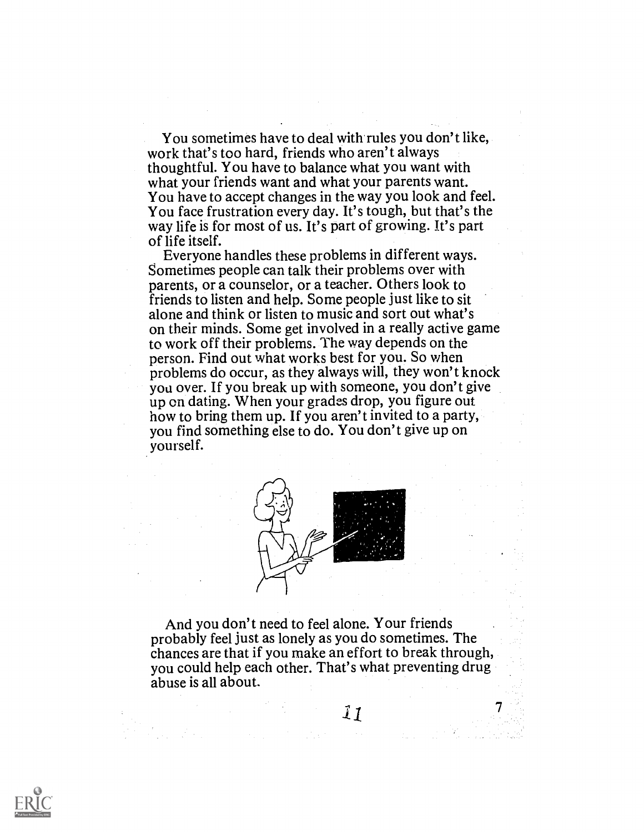You sometimes have to deal with rules you don't like, work that's too hard, friends who aren't always thoughtful. You have to balance what you want with what your friends want and what your parents want. You have to accept changes in the way you look and feel. You face frustration every day. It's tough, but that's the way life is for most of us. It's part of growing. It's part of life itself.

Everyone handles these problems in different ways. Sometimes people can talk their problems over with parents, or a counselor, or a teacher. Others look to friends to listen and help. Some people just like to sit alone and think or listen to music and sort out what's on their minds. Some get involved in a really active game to work off their problems. The way depends on the person. Find out what works best for you. So when problems do occur, as they always will, they won't knock you over. If you break up with someone, you don't give up on dating. When your grades drop, you figure out how to bring them up. If you aren't invited to a party, you find something else to do. You don't give up on yourself.



And you don't need to feel alone. Your friends probably feel just as lonely as you do sometimes. The chances are that if you make an effort to break through, you could help each other. That's what preventing drug abuse is all about.

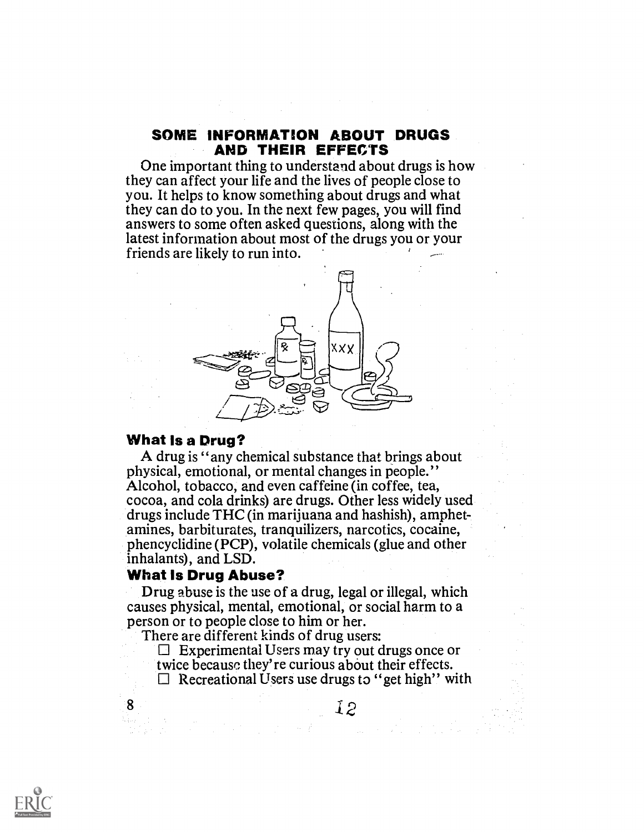#### SOME INFORMATION ABOUT DRUGS AND THEIR EFFECTS

One important thing to understand about drugs is how they can affect your life and the lives of people close to you. It helps to know something about drugs and what they can do to you. In the next few pages, you will find answers to some often asked questions, along with the latest information about most of the drugs you or your friends are likely to run into.



#### What Is a Drug?

A drug is "any chemical substance that brings about physical, emotional, or mental changes in people." Alcohol, tobacco, and even caffeine (in coffee, tea, cocoa, and cola drinks) are drugs. Other less widely used drugs include THC (in marijuana and hashish), amphetamines, barbiturates, tranquilizers, narcotics, cocaine, phencyclidine (PCP), volatile chemicals (glue and other inhalants), and LSD.

#### What Is Drug Abuse?

8

Drug abuse is the use of a drug, legal or illegal, which causes physical, mental, emotional, or social harm to a person or to people close to him or her.

There are different kinds of drug users:

- $\Box$  Experimental Users may try out drugs once or twice because they're curious about their effects.
- 

 $\Box$  Recreational Users use drugs to "get high" with



 $\label{eq:3.1} \left\langle \left( \alpha \right) \right\rangle \left\langle \frac{d}{dt} \right\rangle = \left\langle \left( \alpha \right) \right\rangle \left\langle \left( \alpha \right) \right\rangle \left\langle \left( \alpha \right) \right\rangle \left\langle \left( \alpha \right) \right\rangle \left\langle \left( \alpha \right) \right\rangle \left\langle \left( \alpha \right) \right\rangle \left\langle \left( \alpha \right) \right\rangle \left\langle \left( \alpha \right) \right\rangle \left\langle \left( \alpha \right) \right\rangle \left\langle \left( \alpha \right) \right\rangle \left\langle \left( \alpha \right) \right\rangle \left\$ 

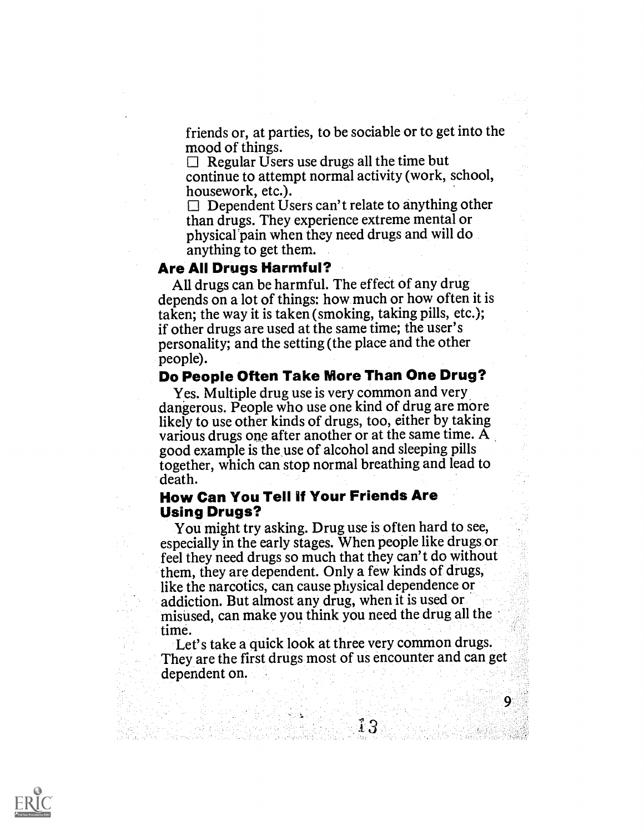friends or, at parties, to be sociable or to get into the mood of things.

 $\Box$  Regular Users use drugs all the time but continue to attempt normal activity (work, school, housework, etc.).

 $\Box$  Dependent Users can't relate to anything other than drugs. They experience extreme mental or physical'pain when they need drugs and will do anything to get them.

#### Are All Drugs Harmful?

All drugs can be harmful. The effect of any drug depends on a lot of things: how much or how often it is taken; the way it is taken (smoking, taking pills, etc.); if other drugs are used at the same time; the user's personality; and the setting (the place and the other people).

#### Do People Often Take More Than One Drug?

Yes. Multiple drug use is very common and very dangerous. People who use one kind of drug are more likely to use other kinds of drugs, too, either by taking various drugs one after another or at the same time. A good example is the use of alcohol and sleeping pills together, which can stop normal breathing and lead to death.

#### How Can You Tell If Your Friends Are Using Drugs?

You might try asking. Drug use is often hard to see, especially in the early stages. When people like drugs or feel they need drugs so much that they can't do without them, they are dependent. Only a few kinds of drugs, like the narcotics, can cause physical dependence or addiction. But almost any drug, when it is used or misused, can make you think you need the drug all the time.

Let's take a quick look at three very common drugs. They are the first drugs most of us encounter and can get dependent on.

9.

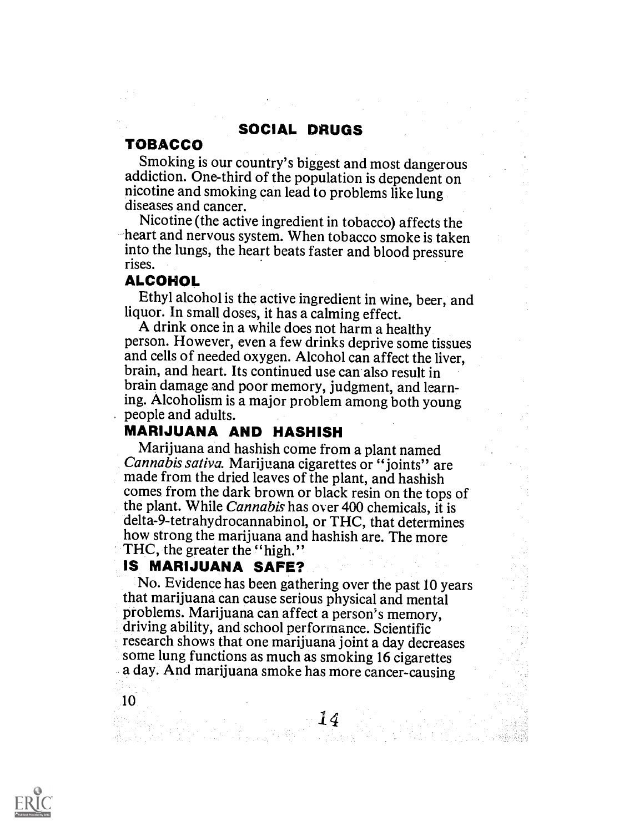# SOCIAL DRUGS

# TOBACCO

Smoking is our country's biggest and most dangerous addiction. One-third of the population is dependent on nicotine and smoking can lead to problems like lung diseases and cancer.

Nicotine (the active ingredient in tobacco) affects the heart and nervous system. When tobacco smoke is taken into the lungs, the heart beats faster and blood pressure rises.

#### ALCOHOL

Ethyl alcohol is the active ingredient in wine, beer, and liquor. In small doses, it has a calming effect.

A drink once in a while does not harm a healthy person. However, even a few drinks deprive some tissues and cells of needed oxygen. Alcohol can affect the liver, brain, and heart. Its continued use can also result in brain damage and poor memory, judgment, and learning. Alcoholism is a major problem among both young . people and adults.

**MARIJUANA AND HASHISH**<br>Marijuana and hashish come from a plant named Cannabis sativa. Marijuana cigarettes or "joints" are made from the dried leaves of the plant, and hashish comes from the dark brown or black resin on the tops of the plant. While Cannabis has over 400 chemicals, it is delta-9-tetrahydrocannabinol, or THC, that determines how strong the marijuana and hashish are. The more THC, the greater the "high."

# IS MARIJUANA SAFE?

No. Evidence has been gathering over the past 10 years that marijuana can cause serious physical and mental driving ability, and school performance. Scientific research shows that one marijuana joint a day decreases some lung functions as much as smoking 16 cigarettes a day. And marijuana smoke has more cancer-causing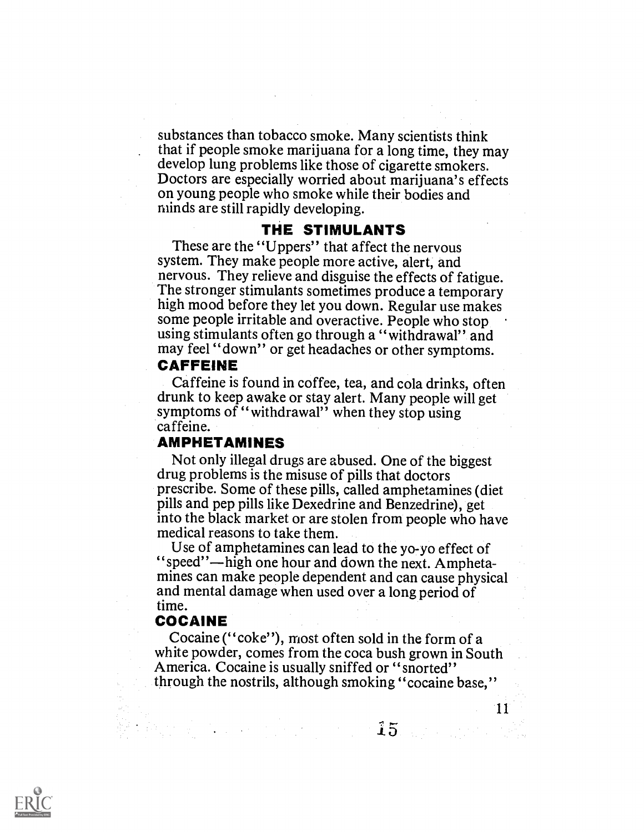substances than tobacco smoke. Many scientists think that if people smoke marijuana for a long time, they may develop lung problems like those of cigarette smokers. Doctors are especially worried about marijuana's effects on young people who smoke while their bodies and minds are still rapidly developing.

#### THE STIMULANTS

These are the "Uppers" that affect the nervous system. They make people more active, alert, and nervous. They relieve and disguise the effects of fatigue. The stronger stimulants sometimes produce a temporary high mood before they let you down. Regular use makes some people irritable and overactive. People who stop using stimulants often go through a "withdrawal" and may feel "down" or get headaches or other symptoms.

# CAFFEINE

Caffeine is found in coffee, tea, and cola drinks, often drunk to keep awake or stay alert. Many people will get symptoms of "withdrawal" when they stop using caffeine.

# AMPHETAMINES

Not only illegal drugs are abused. One of the biggest drug problems is the misuse of pills that doctors prescribe. Some of these pills, called amphetamines (diet pills and pep pills like Dexedrine and Benzedrine), get into the black market or are stolen from people who have medical reasons to take them.

Use of amphetamines can lead to the yo-yo effect of "speed"—high one hour and down the next. Amphetamines can make people dependent and can cause physical and mental damage when used over a long period of time.

#### COCAINE

Cocaine ("coke"), most often sold in the form of a white powder, comes from the coca bush grown in South America. Cocaine is usually sniffed or "snorted" through the nostrils, although smoking "cocaine base,"



, the first contribution of the  $15$  and a strictly with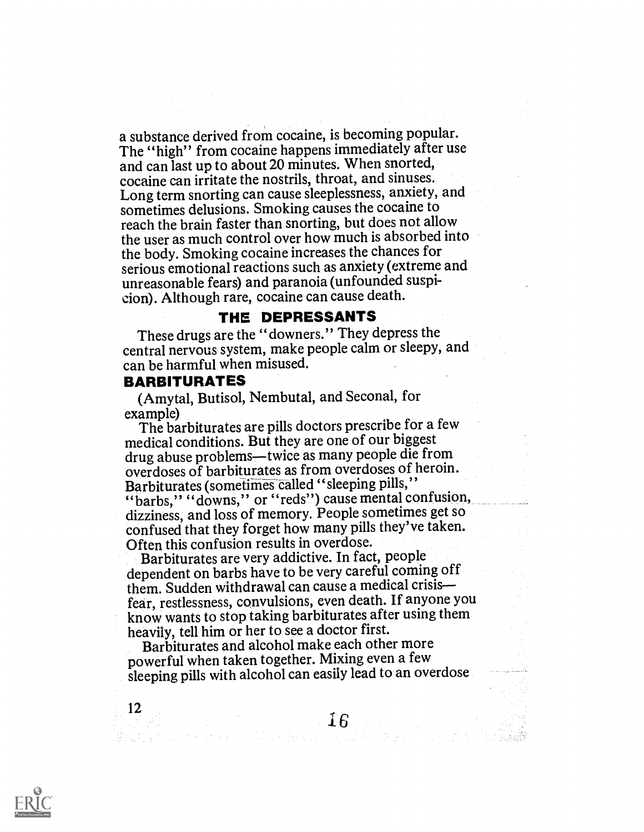a substance derived from cocaine, is becoming popular. The "high" from cocaine happens immediately after use and can last up to about 20 minutes. When snorted, cocaine can irritate the nostrils, throat, and sinuses. Long term snorting can cause sleeplessness, anxiety, and sometimes delusions. Smoking causes the cocaine to reach the brain faster than snorting, but does not allow the user as much control over how much is absorbed into the body. Smoking cocaine increases the chances for serious emotional reactions such as anxiety (extreme and unreasonable fears) and paranoia (unfounded suspicion). Although rare, cocaine can cause death.

#### THE DEPRESSANTS

These drugs are the "downers." They depress the central nervous system, make people calm or sleepy, and can be harmful when misused.

#### BARBITURATES

12

(Amytal, Butisol, Nembutal, and Seconal, for

example) The barbiturates are pills doctors prescribe for a few medical conditions. But they are one of our biggest drug abuse problems—twice as many people die from overdoses of barbiturates as from overdoses of heroin. Barbiturates (sometimes called "sleeping pills," "barbs," "downs," or "reds") cause mental confusion, dizziness, and loss of memory. People sometimes get so confused that they forget how many pills they've taken. Often this confusion results in overdose.

Barbiturates are very addictive. In fact, people dependent on barbs have to be very careful coming off them. Sudden withdrawal can cause a medical crisis fear, restlessness, convulsions, even death. If anyone you know wants to stop taking barbiturates after using them heavily, tell him or her to see a doctor first.

Barbiturates and alcohol make each other more powerful when taken together. Mixing even a few sleeping pills with alcohol can easily lead to an overdose

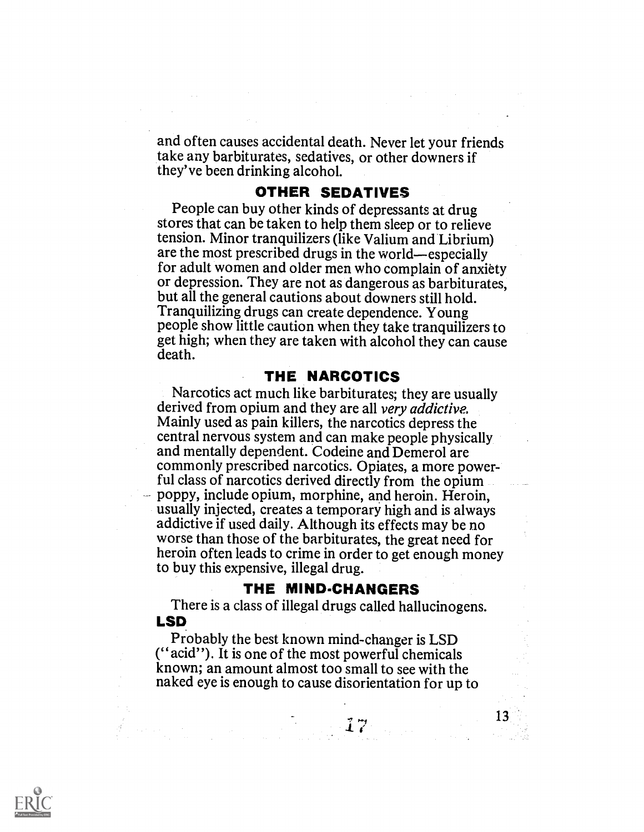and often causes accidental death. Never let your friends take any barbiturates, sedatives, or other downers if they've been drinking alcohol.

# OTHER SEDATIVES

People can buy other kinds of depressants at drug stores that can be taken to help them sleep or to relieve tension. Minor tranquilizers (like Valium and Librium) are the most prescribed drugs in the world—especially for adult women and older men who complain of anxiety or depression. They are not as dangerous as barbiturates, but all the general cautions about downers still hold. Tranquilizing drugs can create dependence. Young people show little caution when they take tranquilizers to get high; when they are taken with alcohol they can cause death.

# THE NARCOTICS

Narcotics act much like barbiturates; they are usually derived from opium and they are all very addictive. Mainly used as pain killers, the narcotics depress the central nervous system and can make people physically and mentally dependent. Codeine and Demerol are commonly prescribed narcotics. Opiates, a more power- ful class of narcotics derived directly from the opium poppy, include opium, morphine, and heroin. Heroin, usually injected, creates a temporary high and is always addictive if used daily. Although its effects may be no worse than those of the barbiturates, the great need for heroin often leads to crime in order to get enough money to buy this expensive, illegal drug.

#### THE MIND-CHANGERS

13

There is a class of illegal drugs called hallucinogens. LSD

Probably the best known mind-changer is LSD (" acid"). It is one of the most powerful chemicals known; an amount almost too small to see with the naked eye is enough to cause disorientation for up to

 $\mathcal{L}^{\bullet}_{\mathbf{z}}$  expression of  $\mathcal{L}^{\bullet}_{\mathbf{z}}$  , and  $\mathcal{L}^{\bullet}_{\mathbf{z}}$  is the set of  $\mathcal{L}^{\bullet}_{\mathbf{z}}$ 

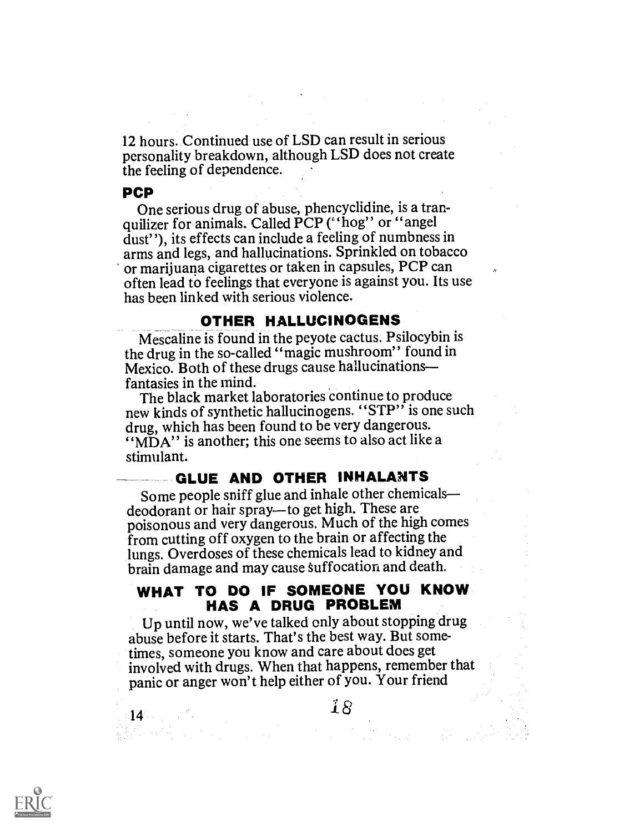12 hours. Continued use of LSD can result in serious personality breakdown, although LSD does not create the feeling of dependence.

## PCP

One serious drug of abuse, phencyclidine, is a tranquilizer for animals. Called PCP ("hog" or "angel dust"), its effects can include a feeling of numbness in arms and legs, and hallucinations. Sprinkled on tobacco or marijuana cigarettes or taken in capsules, PCP can often lead to feelings that everyone is against you. Its use has been linked with serious violence.

#### OTHER HALLUCINOGENS

Mescaline is found in the peyote cactus. Psilocybin is the drug in the so-called "magic mushroom" found in Mexico. Both of these drugs cause hallucinations fantasies in the mind.

The black market laboratories continue to produce new kinds of synthetic hallucinogens. "STP" is one such drug, which has been found to be very dangerous. "MDA" is another; this one seems to also act like a stimulant.

# GLUE AND OTHER INHALANTS

Some people sniff glue and inhale other chemicals—<br>deodorant or hair spray—to get high. These are poisonous and very dangerous. Much of the high comes from cutting off oxygen to the brain or affecting the lungs. Overdoses of these chemicals lead to kidney and brain damage and may cause suffocation and death.

# WHAT TO DO IF SOMEONE YOU KNOW HAS A DRUG PROBLEM

Up until now, we've talked only about stopping drug abuse before it starts. That's the best way. But sometimes, someone you know and care about does get involved with drugs. When that happens, remember that panic or anger won't help either of you. Your friend



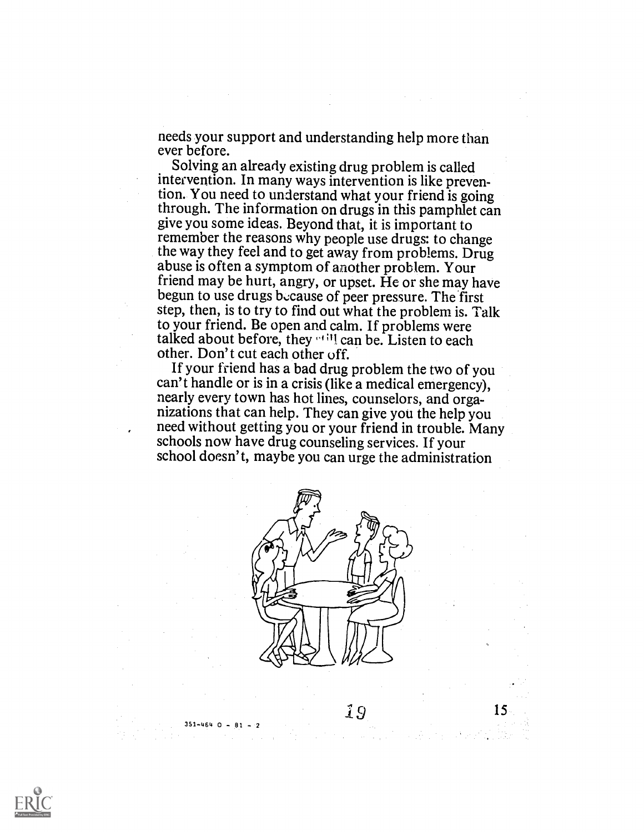needs your support and understanding help more than ever before.

Solving an already existing drug problem is called intervention. In many ways intervention is like prevention. You need to understand what your friend is going through. The information on drugs in this pamphlet can give you some ideas. Beyond that, it is important to remember the reasons why people use drugs: to change the way they feel and to get away from problems. Drug abuse is often a symptom of another problem. Your<br>friend may be hurt, angry, or upset. He or she may have be gun to use drugs b.:cause of peer pressure. The first step, then, is to try to find out what the problem is. Talk to your friend. Be open and calm. If problems were talked about before, they  $\cdot$  0.01 can be. Listen to each other. Don't cut each other off.

If your friend has a bad drug problem the two of you can't handle or is in a crisis (like a medical emergency), nearly every town has hot lines, counselors, and organizations that can help. They can give you the help you need without getting you or your friend in trouble. Many schools now have drug counseling services. If your school doesn't, maybe you can urge the administration



 $351 - 464$  O -  $81 - 2$ 

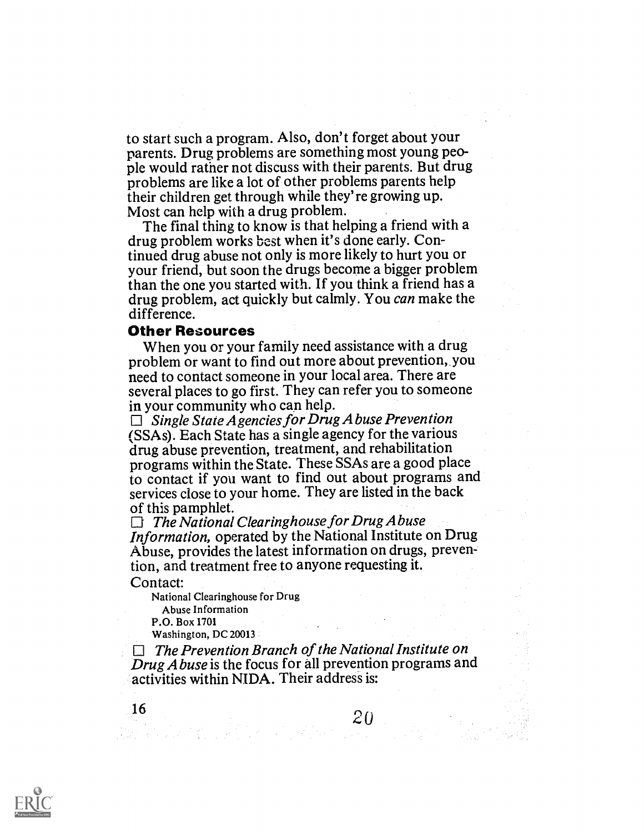to start such a program. Also, don't forget about your parents. Drug problems are something most young people would rather not discuss with their parents. But drug problems are like a lot of other problems parents help their children get through while they're growing up. Most can help with a drug problem.

The final thing to know is that helping a friend with a drug problem works best when it's done early. Continued drug abuse not only is more likely to hurt you or your friend, but soon the drugs become a bigger problem than the one you started with. If you think a friend has a drug problem, act quickly but calmly. You can make the difference.

#### Other Resources

When you or your family need assistance with a drug problem or want to find out more about prevention, you need to contact someone in your local area. There are several places to go first. They can refer you to someone in your community who can help.

 $\Box$  Single State Agencies for Drug A buse Prevention (SSAs). Each State has a single agency for the various drug abuse prevention, treatment, and rehabilitation programs within the State. These SSAs are a good place to contact if you want to find out about programs and services close to your home. They are listed in the back

of this pamphlet.<br> $\Box$  The National Clearinghouse for Drug Abuse Information, operated by the National Institute on Drug Abuse, provides the latest information on drugs, prevention, and treatment free to anyone requesting it.

#### Contact:

National Clearinghouse for Drug Abuse Information

P.O. Box 1701

Washington, DC 20013

 $\Box$  The Prevention Branch of the National Institute on Drug A buse is the focus for all prevention programs and activities within NIDA. Their address is:

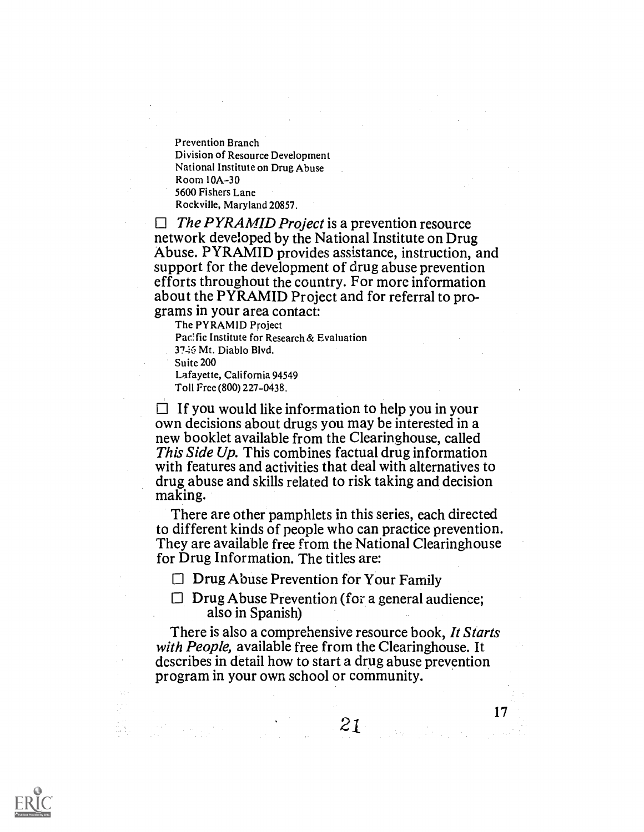Prevention Branch Division of Resource Development National Institute on Drug Abuse Room 10A-30 5600 Fishers Lane Rockville, Maryland 20857.

 $\Box$  The PYRAMID Project is a prevention resource network developed by the National Institute on Drug Abuse. PYRAMID provides assistance, instruction, and support for the development of drug abuse prevention efforts throughout the country. For more information about the PYRAMID Project and for referral to programs in your area contact:

The PYRAMID Project

Pacific Institute for Research & Evaluation 3746 Mt. Diablo Blvd. Suite 200

Lafayette, California 94549 Toll Free (800) 227-0438.

 $\Box$  If you would like information to help you in your own decisions about drugs you may be interested in a new booklet available from the Clearinghouse, called This Side Up. This combines factual drug information with features and activities that deal with alternatives to drug abuse and skills related to risk taking and decision making.

There are other pamphlets in this series, each directed to different kinds of people who can practice prevention. They are available free from the National Clearinghouse for Drug Information. The titles are:

 $\Box$  Drug Abuse Prevention for Your Family

 $\Box$  Drug Abuse Prevention (for a general audience; also in Spanish)

There is also a comprehensive resource book, It Starts with People, available free from the Clearinghouse. It describes in detail how to start a drug abuse prevention program in your own school or community.

 $21 \qquad \qquad 17$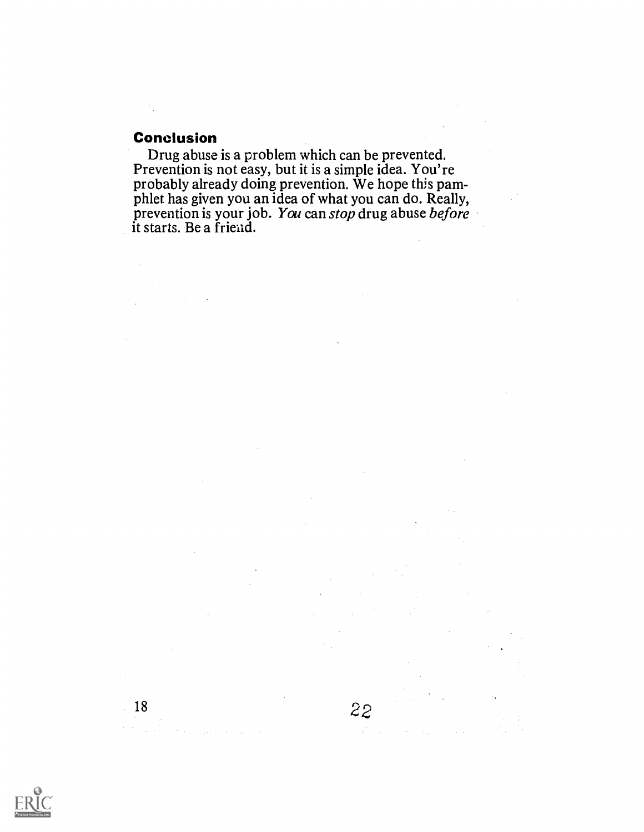# Conclusion

Drug abuse is a problem which can be prevented. Prevention is not easy, but it is a simple idea. You're probably already doing prevention. We hope this pamphlet has given you an idea of what you can do. Really, prevention is your job. You can stop drug abuse before it starts. Be a friend.

 $2<sup>2</sup>$ 



18

t a ju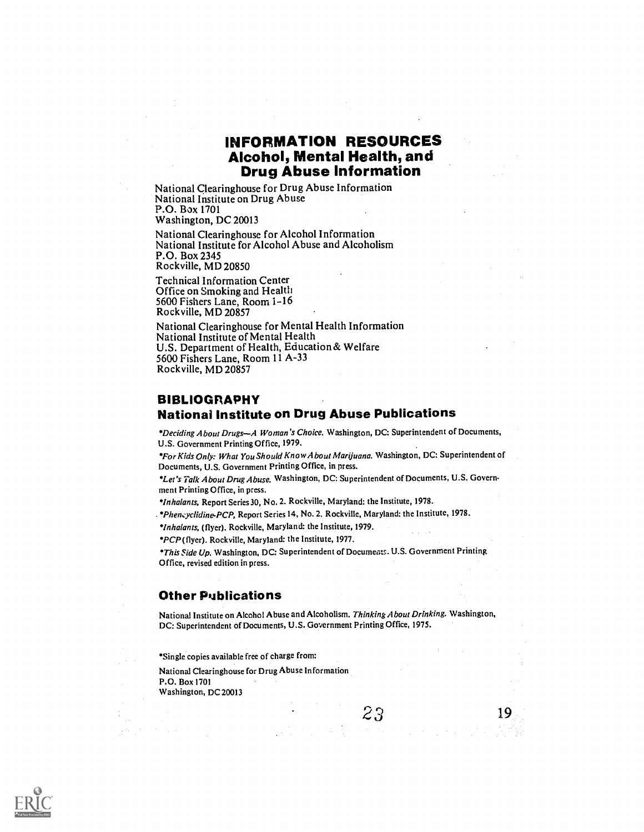# INFORMATION RESOURCES Alcohol, Mental Health, and Drug Abuse Information

National Clearinghouse for Drug Abuse Information National Institute on Drug Abuse P.O. Box 1701 Washington, DC 20013

National Clearinghouse for Alcohol Information National Institute for Alcohol Abuse and Alcoholism P.O. Box 2345 Rockville, MD 20850

Technical Information Center Office on Smoking and Health 5600 Fishers Lane, Room 1-16 Rockville, MD 20857

National Clearinghouse for Mental Health Information National Institute of Mental Health U.S. Department of Health, Education& Welfare 5600 Fishers Lane, Room 11 A-33 Rockville, MD 20857

#### BIBLIOGRAPHY National Institute on Drug Abuse Publications

\*Deciding About Drugs-A Woman's Choice. Washington, DC: Superintendent of Documents, U.S. Government Printing Office, 1979.

For Kids Only: What You Should Know A bout Marijuana. Washington, DC: Superintendent of Documents, U.S. Government Printing Office, in press.

\*Let's Talk About Drug Abuse. Washington, DC: Superintendent of Documents, U.S. Government Printing Office, in press.

\*Inhalants, Report Series 30, No. 2. Rockville, Maryland: the Institute, 1978.

. Phencyclidine-PCP. Report Series 14, No. 2. Rockville, Maryland: the Institute, 1978.

\*Inhalants, (flyer). Rockville, Maryland: the Institute, 1979.

' PCP (flyer). Rockville, Maryland: the Institute, 1977.

\* This Side Up. Washington, DC: Superintendent of Documents. U.S. Government Printing Office, revised edition in press.

#### Other Publications

National Institute on Alcohol Abuse and Alcoholism. Thinking About Drinking. Washington, DC: Superintendent of Documents, U.S. Government Printing Office, 1975.

19

Single copies available free of charge from:

National Clearinghouse for Drug Abuse Information P.O. Box 1701 Washington, DC 20013

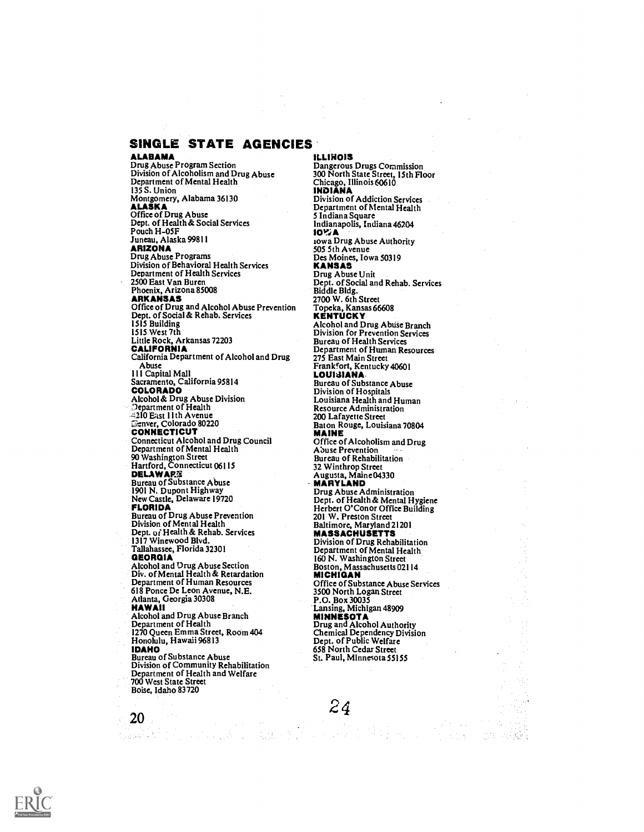SINGLE STATE AGENCIES<br>ALABAMA

ALABAMA Drug Abuse Program Section Division of Alcoholism and Drug Abuse Department of Mental Health 135 S. Union<br>Montgomery, Alabama 36130 Montgomery, Alabama 36130<br>**ALASKA**<br>Office of Drug Abuse<br>Dept. of Health & Social Services Pouch H–05F<br>Juneau, Alaska 9981 l<br>**ARIZONA** Drug Abuse Programs Division of Behavioral Health Services Department of Health Services<br>2500 East Van Buren 2500 East Van Buren Phoenix, Arizona 85008 ARKANSAS Office of Drug and Alcohol Abuse Prevention Dept. of Social & Rehab. Services 1515 Building 1515 West 7th<br>Little Rock, Arkansas 72203<br>**CALIFORNIA** California Department of Alcohol and Drug Abuse 1 1 1 Capital Mall Sacramento, California 95814 COLORADO Alcohol & Drug Abuse Division Department of Health 5210 East 11th Avenue ස්සාver, Colorado 80220<br>**CONNECTICUT**<br>Connecticut Alcohol and Drug Council<br>Department of Mental Health 90 Washington Street Hartford, Connecticut 06115 **DELAWAR**窟<br>Bureau of Substance Abuse 1901 N. Dupont Highway New Castle, Delaware 19720 FLORIDA Bureau of Drug Abuse Prevention Division of Mental Health Dept. of Health & Rehab. Services 1317 Winewood Blvd. Tallahassee, Florida 32301 **GEORGIA**<br>Alcohol and Drug Abuse Section Div. of Mental Health & Retardation Department of Human Resources 618 Ponce De Leon Avenue, N.E. Atlanta, Georgia 30308 HAWAII Alcohol and Drug Abuse Branch Department of Health 1270 Queen Emma Street, Room 404 Honolulu, Hawaii 96813<br>**IDAHO** IDAHO Bureau of Substance Abuse Division of Community Rehabilitation Department of Health and Welfare 700 West State Street

Boise, Idaho 83720

20

ILLINOIS Dangerous Drugs Commission 300 North State Street, 15th Floor Chicago, Illinois 60610 INDIANA Division of Addiction Services Department of Mental Health 5 Indiana Square Indianapolis, Indiana 46204<br>**IOV**A **10%A**<br>10wa Drug Abuse Authority 505 5th Avenue Des Moines, Iowa 50319 KANSAS Drug Abuse Unit Dept. of Social and Rehab. Services Biddle Bldg. 2700 W. 6th Street Topeka, Kansas 66608<br>KENTUCKY Alcohol and Drug Abuse Branch Division for Prevention Services Bureau of Health Services Department of Human Resources 275 East Main Street Frankfort, Kentucky 40601<br>LOUISIANA Bureau of Substance Abuse Division of Hospitals Louisiana Health and Human Resource Administration 200 Lafayette Street Baton Rouge, Louisiana 70804 MAINE Office of Alcoholism and Drug Abuse Prevention Bureau of Rehabilitation 32 Winthrop Str<del>ee</del>t<br>Augusta, Maine04330<br>**MARYLAND** Drug Abuse Administration Dept. of Health & Mental Hygiene Herbert O'Conor Office Building 201 W. Preston Street<br>Baltimore, Maryland 21201 **MASSACHUSETTS** Division of Drug Rehabilitation Department of Mental Health 160 N. Washington Street Boston, Massachusetts 02114 Office of Substance Abuse Services 3500 North Logan Street P.O. Box 30035<br>Lansing, Michigan 48909 Lansing, Michigan 48909<br>**MINNESOTA**<br>Drug and Alcohol Authority<br>Chemical Dependency Division Dept. of Public Welfare 658 North Cedar Street St. Paul, Minnesota 55155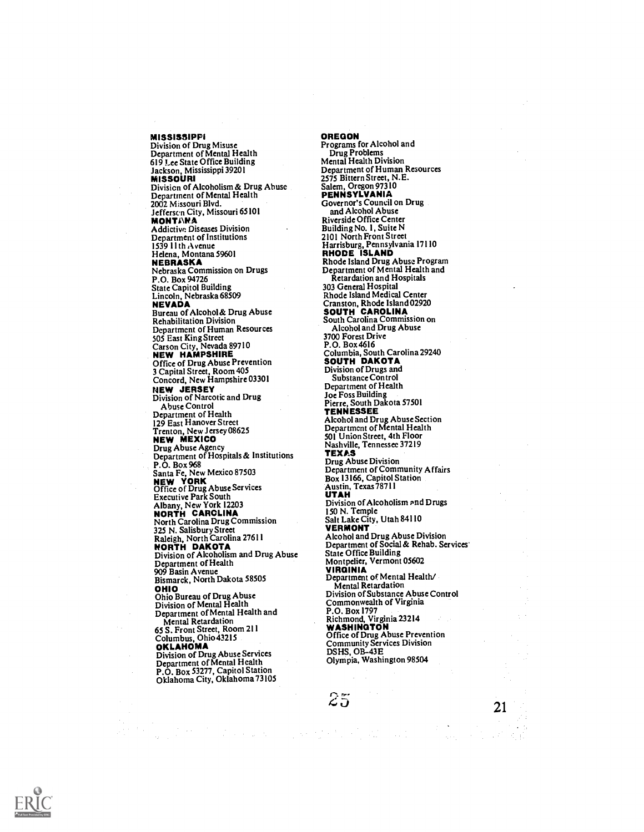MISSISSIPPI Division of Drug Misuse Department of Mental Health 619 Lee State Office Building Jackson, Mississippi 39201<br>MISSOURI MISSOURI Divisicn of Alcoholism & Drug Abuse Department of Mental Health 2002 Missouri Blvd. Jefferscn City, Missouri 65101<br>MONTANA Addictive, Diseases Division Department of Institutions 1539 11th Avenue Helena, Montana 59601 NEBRASKA Nebraska Commission on Drugs P.O. Box 94726 State Capitol Building Lincoln, Nebraska 68509<br>**NEVADA** Bureau of Alcohol& Drug Abuse Rehabilitation Division Department of Human Resources<br>505 East King Street 505 East King Street<br>Carson City, Nevada 89710<br>**NEW HAMPSHIRE** Office of Drug Abuse Prevention 3 Capital Street, Room 405 Concord, New Hampshire 03301 NEW JERSEY Division of Narcotic and Drug Abuse Control Department of Health 129 East Hanover Street<br>
Trenton, New Jersey 08625<br> **NEW MEXICO**<br>
Drug Abuse Agency<br>
Department of Hospitals & Institutions<br>
Department of Hospitals & Institutions P.O. Box 968<br>Santa Fe, New Mexico 87503<br>**NEW YORK**<br>Office of Drug Abuse Services<br>Executive Park South Albany, New York 12203 NORTH CAROLINA North Carolina Drug Commission 325 N. Salisbury Street<br>Raleigh, North Carolina 27611<br>**NORTH DAKOTA** Division of Alcoholism and Drug Abuse State Office Building Department of Health 909 Basin Avenue Bismarck, North Dakota 58505 OHIO Ohio Bureau of Drug Abuse Division of Mental Health Department of Mental Health and Mental Retardation<br>65 S. Front Street, Room 211<br>Columbus, Ohio 43215<br>**OKLAHOMA** Division of Drug Abuse Services Department of Mental Health P.O. Box 53277, Capitol Station Oklahoma City, Oklahoma 73105

OREGON Programs for Alcohol and Drug Problems Mental Health Division Department of Human Resources 2575 Bittern Street, N.E. Salem, Oregon 97310 PENNSYLVANIA Governor's Council on Drug and Alcohol Abuse Riverside Office Center Building No. 1, Suite N 2101 North Front Street<br>Harrisburg, Pennsylvania 17110<br>RHODE ISLAND Rhode Island Drug Abuse Program Department of Mental Health and Retardation and Hospitals 303 General Hospital Rhode Island Medical Center Cranston, Rhode Island 02920<br>**SOUTH CAROLINA**<br>South Carolina Commission on Alcohol and Drug Abuse 3700 Forest Drive<br>P.O. Box 4616 P.O. Box 4616<br>Columbia, South Carolina 29240<br>**SOUTH DAKOTA**<br>Division of Drugs and Substance Control Department of Health Joe Foss Building Pierre, South Dakota 57501 TENNESSEE Alcohol and Drug Abuse Section Department of Mental Health 501 Union Street, 4th Floor Nashville, Tennessee 37219<br>TEXAS TEXAS Drug Abuse Division Department of Community Affairs Box 13166, Capitol Station Austin, Texas 78711 UTAH Division of Alcoholism and Drugs 150 N. Temple Salt Lake City, Utah 84110 VERMONT Alcohol and Drug Abuse Division Department of Social & Rehab. Services Sucate Diensen<br>Montpelier, Vermont 05602<br>VIRGINIA VIRGINIA Department of Mental Health/ Mental Retardation Division of Substance Abuse Control Commonwealth of Virginia P.O. Box 1797<br>Richmond, Virginia 23214<br>**WASHINGTON** Office of Drug Abuse Prevention Community Services Division DSHS, OB-43E Olympia, Washington 98504

 $\mathcal{Z}5$ 

 $\label{eq:4} \mathcal{L}_{\mathcal{A}}(\mathcal{A}_{\mathcal{A}}(\mathcal{A}_{\mathcal{A}})) = \mathcal{L}_{\mathcal{A}}(\mathcal{A}_{\mathcal{A}}(\mathcal{A}_{\mathcal{A}})) = \mathcal{L}_{\mathcal{A}}(\mathcal{A}_{\mathcal{A}}(\mathcal{A}_{\mathcal{A}}))$